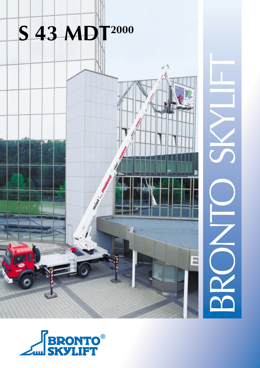